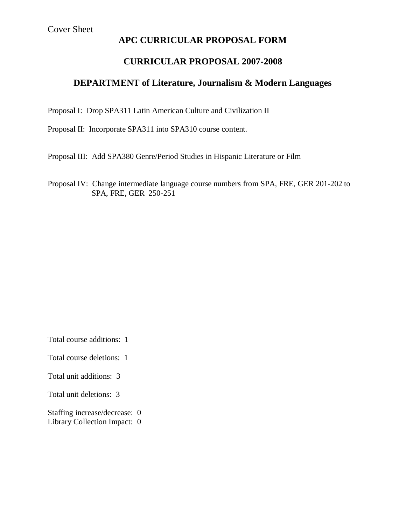## **APC CURRICULAR PROPOSAL FORM**

# **CURRICULAR PROPOSAL 2007-2008**

## **DEPARTMENT of Literature, Journalism & Modern Languages**

Proposal I: Drop SPA311 Latin American Culture and Civilization II

Proposal II: Incorporate SPA311 into SPA310 course content.

Proposal III: Add SPA380 Genre/Period Studies in Hispanic Literature or Film

Proposal IV: Change intermediate language course numbers from SPA, FRE, GER 201-202 to SPA, FRE, GER 250-251

Total course additions: 1

Total course deletions: 1

Total unit additions: 3

Total unit deletions: 3

Staffing increase/decrease: 0 Library Collection Impact: 0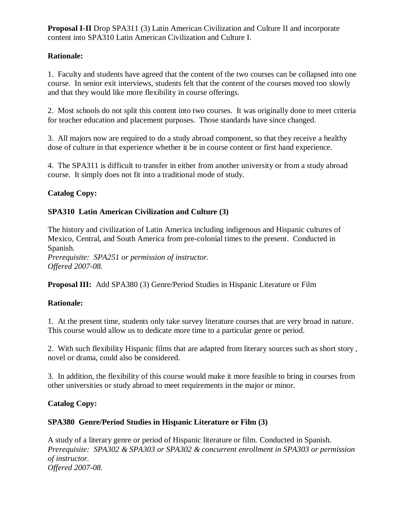**Proposal I-II** Drop SPA311 (3) Latin American Civilization and Culture II and incorporate content into SPA310 Latin American Civilization and Culture I.

## **Rationale:**

1. Faculty and students have agreed that the content of the two courses can be collapsed into one course. In senior exit interviews, students felt that the content of the courses moved too slowly and that they would like more flexibility in course offerings.

2. Most schools do not split this content into two courses. It was originally done to meet criteria for teacher education and placement purposes. Those standards have since changed.

3. All majors now are required to do a study abroad component, so that they receive a healthy dose of culture in that experience whether it be in course content or first hand experience.

4. The SPA311 is difficult to transfer in either from another university or from a study abroad course. It simply does not fit into a traditional mode of study.

## **Catalog Copy:**

## **SPA310 Latin American Civilization and Culture (3)**

The history and civilization of Latin America including indigenous and Hispanic cultures of Mexico, Central, and South America from pre-colonial times to the present. Conducted in Spanish.

*Prerequisite: SPA251 or permission of instructor. Offered 2007-08.*

**Proposal III:** Add SPA380 (3) Genre/Period Studies in Hispanic Literature or Film

### **Rationale:**

1. At the present time, students only take survey literature courses that are very broad in nature. This course would allow us to dedicate more time to a particular genre or period.

2. With such flexibility Hispanic films that are adapted from literary sources such as short story , novel or drama, could also be considered.

3. In addition, the flexibility of this course would make it more feasible to bring in courses from other universities or study abroad to meet requirements in the major or minor.

## **Catalog Copy:**

### **SPA380 Genre/Period Studies in Hispanic Literature or Film (3)**

A study of a literary genre or period of Hispanic literature or film. Conducted in Spanish. *Prerequisite: SPA302 & SPA303 or SPA302 & concurrent enrollment in SPA303 or permission of instructor. Offered 2007-08.*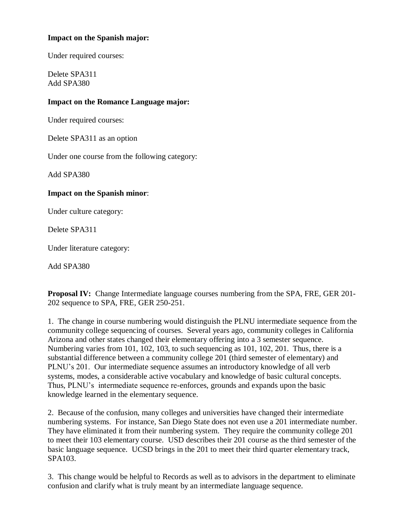#### **Impact on the Spanish major:**

Under required courses:

Delete SPA311 Add SPA380

#### **Impact on the Romance Language major:**

Under required courses:

Delete SPA311 as an option

Under one course from the following category:

Add SPA380

#### **Impact on the Spanish minor**:

Under culture category:

Delete SPA311

Under literature category:

Add SPA380

**Proposal IV:** Change Intermediate language courses numbering from the SPA, FRE, GER 201- 202 sequence to SPA, FRE, GER 250-251.

1. The change in course numbering would distinguish the PLNU intermediate sequence from the community college sequencing of courses. Several years ago, community colleges in California Arizona and other states changed their elementary offering into a 3 semester sequence. Numbering varies from 101, 102, 103, to such sequencing as 101, 102, 201. Thus, there is a substantial difference between a community college 201 (third semester of elementary) and PLNU's 201. Our intermediate sequence assumes an introductory knowledge of all verb systems, modes, a considerable active vocabulary and knowledge of basic cultural concepts. Thus, PLNU's intermediate sequence re-enforces, grounds and expands upon the basic knowledge learned in the elementary sequence.

2. Because of the confusion, many colleges and universities have changed their intermediate numbering systems. For instance, San Diego State does not even use a 201 intermediate number. They have eliminated it from their numbering system. They require the community college 201 to meet their 103 elementary course. USD describes their 201 course as the third semester of the basic language sequence. UCSD brings in the 201 to meet their third quarter elementary track, SPA103.

3. This change would be helpful to Records as well as to advisors in the department to eliminate confusion and clarify what is truly meant by an intermediate language sequence.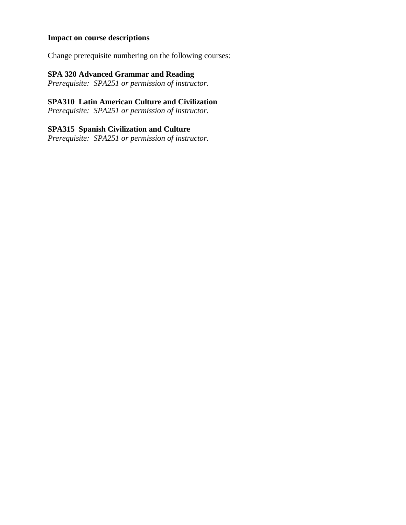## **Impact on course descriptions**

Change prerequisite numbering on the following courses:

## **SPA 320 Advanced Grammar and Reading**

*Prerequisite: SPA251 or permission of instructor.*

## **SPA310 Latin American Culture and Civilization**

*Prerequisite: SPA251 or permission of instructor.*

## **SPA315 Spanish Civilization and Culture**

*Prerequisite: SPA251 or permission of instructor.*